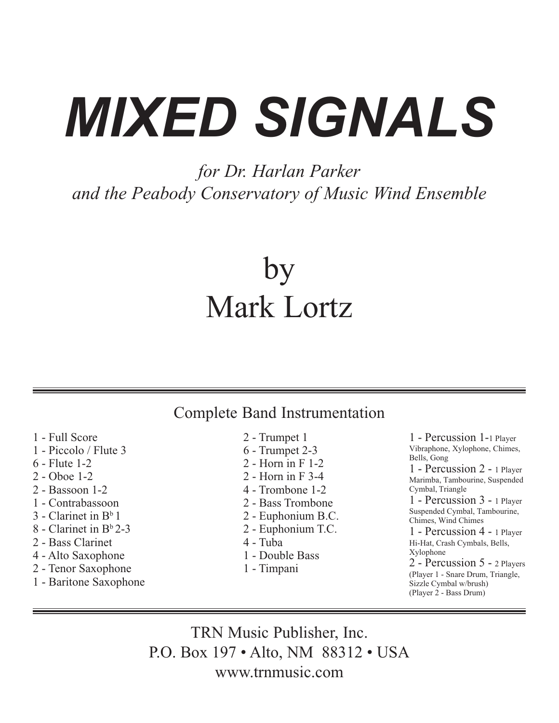# *MIXED SIGNALS*

*for Dr. Harlan Parker and the Peabody Conservatory of Music Wind Ensemble*

## by Mark Lortz

### Complete Band Instrumentation

- 1 Full Score
- 1 Piccolo / Flute 3
- 6 Flute 1-2
- 2 Oboe 1-2
- 2 Bassoon 1-2
- 1 Contrabassoon
- $3$  Clarinet in  $B<sup>b</sup>1$
- 8 Clarinet in  $B^b 2-3$
- 2 Bass Clarinet
- 4 Alto Saxophone
- 2 Tenor Saxophone
- 1 Baritone Saxophone
- 2 Trumpet 1
- 6 Trumpet 2-3
- 2 Horn in F 1-2
- 2 Horn in F 3-4
- 4 Trombone 1-2
- 2 Bass Trombone
- 2 Euphonium B.C.
- 2 Euphonium T.C.
- 4 Tuba
- 1 Double Bass
- 1 Timpani

1 - Percussion 1-1 Player Vibraphone, Xylophone, Chimes, Bells, Gong

1 - Percussion 2 - 1 Player Marimba, Tambourine, Suspended Cymbal, Triangle

1 - Percussion 3 - 1 Player Suspended Cymbal, Tambourine, Chimes, Wind Chimes

1 - Percussion 4 - 1 Player Hi-Hat, Crash Cymbals, Bells, Xylophone

2 - Percussion 5 - 2 Players (Player 1 - Snare Drum, Triangle, Sizzle Cymbal w/brush) (Player 2 - Bass Drum)

TRN Music Publisher, Inc. P.O. Box 197 • Alto, NM 88312 • USA www.trnmusic.com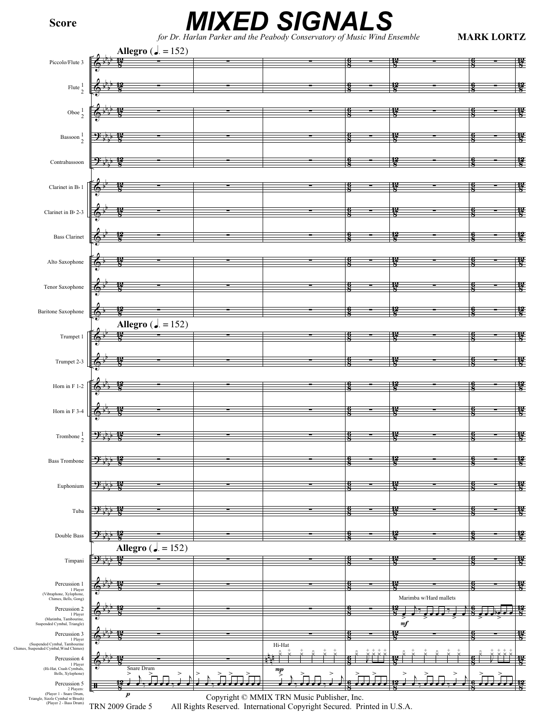**Score**



**MARK LORTZ**

|                                                                      |                        | Allegro ( $\sqrt{ }$ . = 152) |  |                                                                         |     |                      |     |                        |     |                |
|----------------------------------------------------------------------|------------------------|-------------------------------|--|-------------------------------------------------------------------------|-----|----------------------|-----|------------------------|-----|----------------|
| Piccolo/Flute 3                                                      |                        |                               |  |                                                                         |     |                      |     |                        |     | $\frac{12}{8}$ |
|                                                                      |                        |                               |  |                                                                         |     |                      |     |                        |     |                |
| Flute $\frac{1}{2}$                                                  |                        |                               |  |                                                                         |     |                      |     |                        |     | $\frac{12}{8}$ |
|                                                                      |                        |                               |  |                                                                         |     |                      |     |                        |     |                |
| Oboe $\frac{1}{2}$                                                   |                        |                               |  |                                                                         |     |                      |     |                        |     | $\frac{12}{8}$ |
|                                                                      |                        |                               |  |                                                                         |     |                      |     |                        |     |                |
| Bassoon $\frac{1}{2}$                                                |                        |                               |  |                                                                         | Ķ   |                      |     |                        | \$į | $\frac{12}{8}$ |
|                                                                      |                        |                               |  |                                                                         |     |                      |     |                        |     |                |
| Contrabassoon                                                        |                        |                               |  |                                                                         |     |                      |     |                        |     | $\frac{1}{8}$  |
|                                                                      |                        |                               |  |                                                                         |     |                      |     |                        |     |                |
| Clarinet in $\mathrm{B}\flat$ 1                                      |                        |                               |  |                                                                         |     |                      |     |                        |     | $\frac{12}{8}$ |
|                                                                      |                        |                               |  |                                                                         |     |                      |     |                        |     |                |
| Clarinet in B $\frac{1}{2}$ -3                                       |                        |                               |  |                                                                         |     |                      |     |                        |     | $\frac{12}{8}$ |
|                                                                      |                        |                               |  |                                                                         |     |                      |     |                        |     |                |
| <b>Bass Clarinet</b>                                                 |                        |                               |  |                                                                         | -6  |                      |     |                        | ₫ä  | $\frac{12}{8}$ |
|                                                                      |                        |                               |  |                                                                         |     |                      |     |                        |     |                |
| Alto Saxophone                                                       |                        |                               |  |                                                                         |     |                      |     |                        |     | $\frac{1}{8}$  |
|                                                                      |                        |                               |  |                                                                         | \$į |                      | 13  |                        | \$į |                |
| Tenor Saxophone                                                      |                        |                               |  |                                                                         |     |                      |     |                        |     | $\frac{12}{8}$ |
|                                                                      |                        |                               |  |                                                                         |     |                      |     |                        | -ti |                |
| Baritone Saxophone                                                   |                        | Allegro ( $\Box$ = 152)       |  |                                                                         |     |                      |     |                        |     | $\frac{12}{8}$ |
| Trumpet 1                                                            |                        |                               |  |                                                                         |     |                      |     |                        |     | $\frac{12}{8}$ |
|                                                                      |                        |                               |  |                                                                         |     |                      |     |                        |     |                |
| Trumpet 2-3                                                          |                        |                               |  |                                                                         |     |                      |     |                        |     | $\frac{12}{8}$ |
|                                                                      |                        |                               |  |                                                                         |     |                      |     |                        |     |                |
| Horn in $F$ 1-2                                                      |                        |                               |  |                                                                         |     |                      |     |                        |     | $\frac{12}{8}$ |
|                                                                      |                        |                               |  |                                                                         |     |                      |     |                        |     |                |
| Horn in F 3-4 $\,$                                                   |                        |                               |  |                                                                         | K   |                      |     |                        | \$į | $\frac{12}{8}$ |
|                                                                      |                        |                               |  |                                                                         |     |                      |     |                        |     |                |
| Trombone $\frac{1}{2}$                                               |                        |                               |  |                                                                         | Ķ   |                      |     |                        |     | $\frac{12}{8}$ |
|                                                                      |                        |                               |  |                                                                         |     |                      |     |                        |     |                |
| <b>Bass Trombone</b>                                                 | ッ                      |                               |  |                                                                         |     |                      |     |                        |     | $\frac{12}{8}$ |
|                                                                      |                        |                               |  |                                                                         |     |                      |     |                        |     |                |
| Euphonium                                                            | $9 + 1$                |                               |  |                                                                         |     |                      |     |                        |     | $\frac{12}{8}$ |
|                                                                      |                        |                               |  |                                                                         |     |                      |     |                        |     |                |
| Tuba                                                                 | ッ<br>$P_{1}$           |                               |  |                                                                         |     |                      | 13  |                        |     | $\frac{12}{8}$ |
|                                                                      |                        |                               |  |                                                                         |     |                      |     |                        |     |                |
| Double Bass                                                          | $\mathbf{\mathcal{P}}$ |                               |  |                                                                         |     |                      |     |                        | tį  | $\frac{12}{8}$ |
|                                                                      |                        | Allegro ( $J = 152$ )         |  |                                                                         |     |                      |     |                        |     |                |
| Timpani                                                              | $9 - 1$                |                               |  |                                                                         | ⊨ģ  |                      | -12 |                        | ₫ä  | $\frac{1}{8}$  |
|                                                                      |                        |                               |  |                                                                         |     |                      |     |                        |     |                |
| Percussion 1<br>1 Player<br>(Vibraphone, Xylophone,                  |                        |                               |  |                                                                         |     |                      |     |                        |     | $\frac{12}{8}$ |
| Chimes, Bells, Gong)                                                 |                        |                               |  |                                                                         |     |                      |     | Marimba w/Hard mallets |     |                |
| Percussion 2<br>1 Player<br>(Marimba, Tambourine,                    |                        |                               |  |                                                                         |     |                      |     |                        |     | $\frac{12}{8}$ |
| Suspended Cymbal, Triangle)                                          |                        |                               |  |                                                                         |     |                      | m f |                        |     |                |
| Percussion 3<br>1 Player<br>(Suspended Cymbal, Tambourine            |                        |                               |  | Hi-Hat                                                                  |     |                      |     |                        |     | $\frac{12}{8}$ |
| Chimes, Suspended Cymbal, Wind Chimes)<br>Percussion 4               |                        |                               |  |                                                                         |     |                      |     |                        |     |                |
| 1 Player<br>1 Player<br>(Hi-Hat, Crash Cymbals,<br>Bells, Xylophone) |                        | Snare Drum                    |  | $\frac{mp}{2}$                                                          |     |                      |     |                        |     | $\frac{12}{3}$ |
|                                                                      |                        | $\geq$                        |  | . . <i>.</i> .                                                          |     | $\overrightarrow{v}$ |     |                        |     | 42             |
| Percussion 5<br>$2$ Players:<br>(Player 1 - Snare Drum,              |                        | $\boldsymbol{p}$              |  | Copyright © MMIX TRN Music Publisher, Inc.                              |     |                      |     |                        |     |                |
| Triangle, Sizzle Cymbal w/Brush)<br>(Player 2 - Bass Drum)           | TRN 2009 Grade 5       |                               |  | All Rights Reserved. International Copyright Secured. Printed in U.S.A. |     |                      |     |                        |     |                |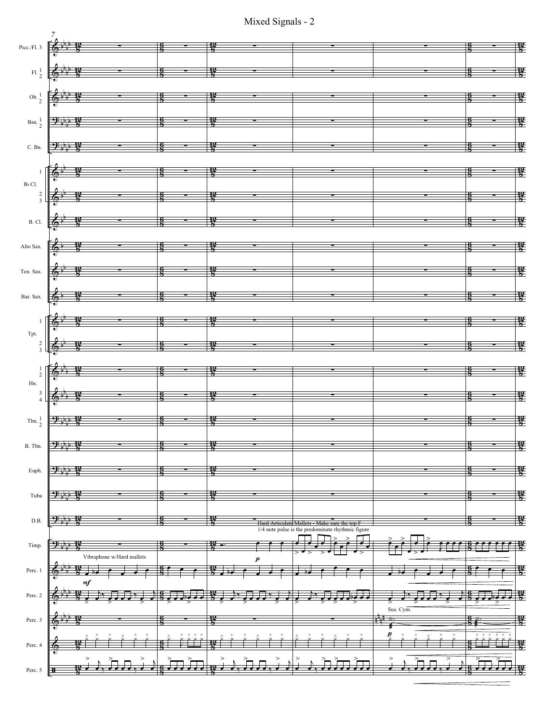#### Mixed Signals - 2

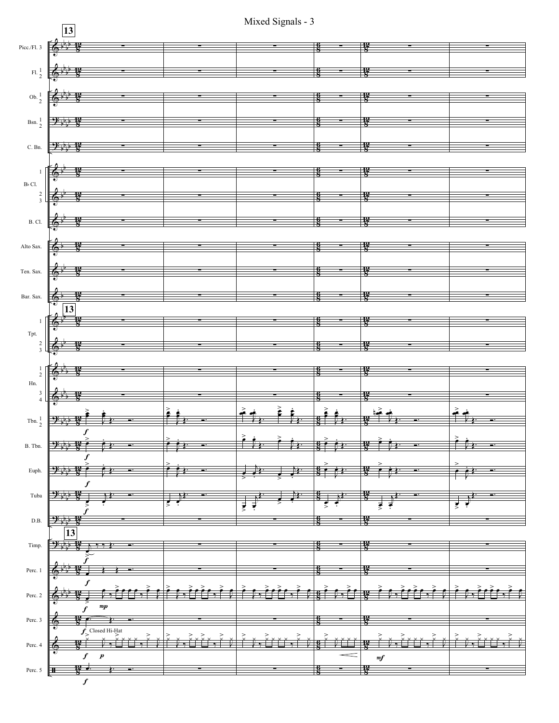

#### Mixed Signals - 3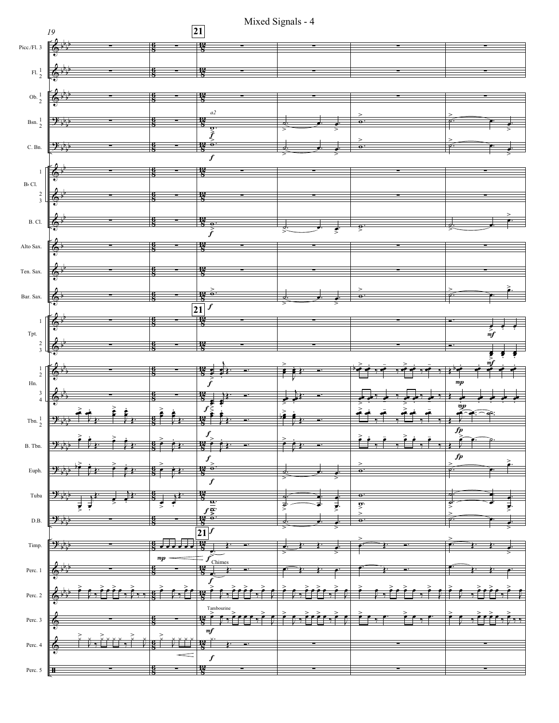#### Mixed Signals - 4*19* l, **21** i<br>F  $\overline{a}$ l,  $\overline{a}$  $\overline{a}$  $\overline{a}$  $\overline{a}$  $\overline{a}$  $\overline{a}$  $\overline{1}$ 6 4 l, i<br>h  $\overline{a}$  $\frac{1}{2}$ l,  $\overline{a}$  $\overline{a}$  $\overline{a}$  $\overline{a}$  $\overline{a}$  $\overline{a}$ i, ĝ 175 l,  $\frac{1}{2}$ ,<br>c <u>18</u> Ļ  $\overline{a}$  $\overline{a}$  $\overline{ }$  $\overline{a}$  $\overline{a}$  $\overline{a}$  $\overline{1}$ ģ  $\phi$  $\frac{2}{\sqrt{2}}$  $\frac{1}{\sqrt{2}}$ *a2*  $\frac{9}{2}$  $\overline{c}$  $10^{11}$ l,  $\geq$ l<br>5 . .  $\frac{1}{2}$  $\pm$ ļ 6 ķ  $\frac{1}{2}$  $\equiv$  $\frac{1}{\sqrt{2}}$  $\overline{\mathbf{e}}$  $\sum_{n=1}^{\infty}$  $\frac{2}{\sqrt{2}}$  $\frac{1}{\sqrt{1-\frac{1}{2}}}\left\{ \frac{1}{\sqrt{1-\frac{1}{2}}}\right\}$  $\overline{a}$  $\frac{12}{5}$ i,  $\geq$  $\frac{1}{2}$  $\overline{a}$  $\overline{a}$  $\frac{1}{2}$   $\frac{1}{2}$  $\pm$ l, 6  $\overline{1}$  $\vec{\bullet}$  $\overline{f}$  $\overline{a}$  $\overline{a}$ <u>12</u> l,  $\overline{a}$  $\overline{a}$  $\overline{ }$  $\overline{a}$  $\overline{a}$  $\overline{a}$ ġ 6 l, ,<br>c -<br>10 Ļ  $\overline{a}$  $\overline{a}$  $\overline{ }$  $\overline{a}$  $\overline{a}$  $\overline{a}$

9

Picc./Fl. 3

Fl.  $\frac{1}{2}$ 

Ob.  $\frac{1}{2}$ 

Bsn.  $\frac{1}{2}$ 

C. Bn.

 $B \flat$  Cl.

1

2 3

ģ

ķ

| B.Cl.                                           | $\spadesuit$                |                 | ⊖                              |                              | $\overline{\mathbf{e}}$                |                                                    |
|-------------------------------------------------|-----------------------------|-----------------|--------------------------------|------------------------------|----------------------------------------|----------------------------------------------------|
| Alto Sax.                                       | $\frac{1}{2}$               | g               | $\frac{42}{8}$                 |                              |                                        |                                                    |
| Ten. Sax.                                       | 臺                           |                 | $\frac{12}{8}$                 |                              |                                        |                                                    |
| Bar. Sax.                                       | $\hat{\mathbb{P}}$          |                 |                                | ø.                           | $\overline{\bullet}$                   |                                                    |
|                                                 |                             |                 | $\overline{21}$                |                              |                                        |                                                    |
|                                                 |                             |                 |                                |                              |                                        |                                                    |
| $\operatorname{\mathsf{Tpt}.}$<br>$\frac{2}{3}$ | 6                           | ÿ               |                                |                              |                                        | $\stackrel{\textstyle >}{\textstyle \it{mf}}$<br>Ð |
|                                                 |                             |                 |                                |                              |                                        |                                                    |
| $\mathbf{1}$<br>$\overline{c}$<br>Hn.           |                             |                 | $\frac{12}{8}$                 | $\bullet$                    |                                        | $\it mp$                                           |
| $\frac{3}{4}$                                   | $\frac{2}{9}$               |                 |                                |                              |                                        |                                                    |
| Tbn. $\frac{1}{2}$                              | $9\cdot$                    |                 |                                |                              |                                        | $\psi$                                             |
| B. Tbn.                                         | ᠫ᠊ᡃ                         |                 |                                |                              |                                        | $\overline{\textit{fp}}$                           |
|                                                 |                             |                 | $\bullet$                      |                              | >                                      | fp                                                 |
| Euph.                                           | <u>ີງ:</u>                  | \$              | $\frac{12}{8}$                 | d.                           | $\overline{\mathbf{e}}$                |                                                    |
| Tuba                                            |                             |                 | $\frac{12}{8}$<br>$\mathbf{p}$ | $\overline{5}$               | $\overline{\bullet}$<br>$\overline{S}$ | ड़                                                 |
| D.B.                                            | $9 +$                       | 8               | f₹                             |                              | $\geq$<br>$\overline{\mathbf{e}}$      |                                                    |
| Timp.                                           | $\mathfrak{P} \mathfrak{p}$ |                 | $\overline{21}$<br>- 12        |                              |                                        |                                                    |
|                                                 |                             | $\mathfrak{m}p$ | Chimes                         |                              |                                        |                                                    |
| Perc. 1                                         | $\mathbb{Z}^{\flat}$        |                 | 12<br>--                       | $\left  \cdot \right $<br>÷, | مَّ<br>J.                              | F<br><b>≀</b><br>≀<br>Ÿ.                           |

ፌ  $\frac{1}{2}$ l<br>5  $\frac{1}{2}$  $\frac{1}{2}$ l,  $\overline{a}$ l, l, Ļ l,  $\frac{1}{2}$  $\frac{1}{2}$ 6  $\overline{c}$  $\frac{21}{8}$ ĝ  $\overline{a}$ ģ l.  $\frac{12}{8}$ ز<br>دە 12 –  $\frac{1}{10}$  $\frac{1}{\sqrt{2}}$ D.B. Timp. Perc. 1 Perc. 2  $\overline{\phantom{a}}$ ┇ ֖֖֖֖֧ׅ֧֧֚֚֚֚֚֚֚֚֚֚֚֚֚֚֚֚֚֚֚֚֚֚֡֝֡֡֡֡֬֝֬֝֓֞֝֬֝֬֝֬ .  $\overline{a}$  $\overline{a}$  $\geq$  $\geq$  $\vec{b}$   $\rightarrow$  $\geq$   $\geq$  $\geq$  $\geq$  $\overline{a}$  $\frac{1}{2}$ ₹  $\overline{\phantom{a}}$ .  $\overline{a}$  $\geq$  $\geq$  $\mathbf{m}$ :  $\frac{a}{\sqrt{2}}$ I ₹  $\overline{\cdots}$  $\overrightarrow{f}$   $\overrightarrow{f}$   $\overrightarrow{f}$  $\overline{a}$  $\boxed{21}^f$  $\sum_{\text{Chimes}}^{\bullet}$ ∖ิจ -<br>.  $\frac{1}{2}$  $\pm$  $\frac{1}{2}$  $\overline{\bullet}$ ⇉  $\begin{array}{ccc} \bullet & \bullet & \bullet \\ \bullet & \bullet & \bullet \end{array}$  $\vec{\bullet}$  $\widehat{\cdots}$  $\geq$  $\sum_{i=1}^{n} a_{i} \sum_{i=1}^{n} a_{i} \sum_{i=1}^{n} a_{i} \sum_{i=1}^{n} a_{i} \sum_{i=1}^{n} a_{i} \sum_{i=1}^{n} a_{i} \sum_{i=1}^{n} a_{i} \sum_{i=1}^{n} a_{i} \sum_{i=1}^{n} a_{i} \sum_{i=1}^{n} a_{i} \sum_{i=1}^{n} a_{i} \sum_{i=1}^{n} a_{i} \sum_{i=1}^{n} a_{i} \sum_{i=1}^{n} a_{i} \sum_{i=1}^{n} a_{i} \sum_{i=1}^{n}$  $\sum_{i=0}^{n}$  $\overline{a}$  $\frac{\mathbf{a}}{\mathbf{b}}$  $\geq$  $\frac{1}{2}$  $\left( \begin{array}{ccc} \cdot & \cdot & \cdot \\ \cdot & \cdot & \cdot \\ \cdot & \cdot & \cdot \end{array} \right)$  $\geq$  $\geq$  $\vec{r}$  $\geq$   $\geq$  $\overrightarrow{r}$  $\geq$  $\overline{\phantom{a}}$ डे ֺ֖֖֖֖֧ׅ֖֪ׅ֖֪֪ׅ֖֚֚֚֚֚֚֚֚֚֚֚֚֚֚֚֚֚֚֚֚֚֚֚֚֚֚֚֚֚֝֘֝֓֞֝֝֬֝֓֞֝֓֞֞֝ 1  $\frac{1}{\sqrt{2}}$  $\begin{array}{c} \begin{array}{c} \bullet \end{array} \\ \bullet \end{array}$  $\overline{\bullet}$  $\geq$  $\sum_{i=1}^{\infty}$ ₹  $\widehat{\cdots}$  $\geq$  $\geq$  $\rightarrow$  $\geq$ .<br>200  $\overline{\phantom{a}}$  $\geq$ 

 $\frac{1}{2}$ 

₹

 $\Phi$ -⊫ g ġ  $\overline{a}$ ĝ  $\overline{a}$ Tambourine<br>  $\frac{2}{3}$   $\frac{2}{3}$   $\frac{2}{3}$   $\frac{2}{3}$   $\frac{2}{3}$   $\frac{2}{3}$   $\frac{2}{3}$   $\frac{2}{3}$   $\frac{2}{3}$   $\frac{2}{3}$   $\frac{2}{3}$   $\frac{2}{3}$   $\frac{2}{3}$   $\frac{2}{3}$   $\frac{2}{3}$   $\frac{2}{3}$   $\frac{2}{3}$   $\frac{2}{3}$   $\frac{2}{3}$   $\frac{2}{3}$   $\frac{2}{3}$  $\frac{12}{5}$ ķ  $\overline{10}$ Perc. 3 Perc. 4 Perc. 5 .  $\overline{z}$  $\sum_{i=1}^{n}$ Ď.  $\overline{z}$   $\sum_{i=1}^{n}$  $\overline{\phantom{0}}$  $\overline{a}$ .  $\overline{z}$  $\sum_{i=1}^{n}$  $\sim$   $\sim$   $\sim$   $\sim$  $\overline{a}$  $\sum_{i=1}^{n}$  $\overline{a}$ *f*<br>\* - - - $\overline{ }$  $m f$  $\pmb{f}$  $\geq$  $\frac{1}{2}$  $\sum_{i=1}^{n}$  $\overline{a}$  $\overline{a}$  $\overline{a}$  $\geq$  $\rightarrow$  $\overline{a}$  $\overline{a}$  $\geq$  $\sum$  $\overrightarrow{ }$   $\overline{a}$  $\overline{a}$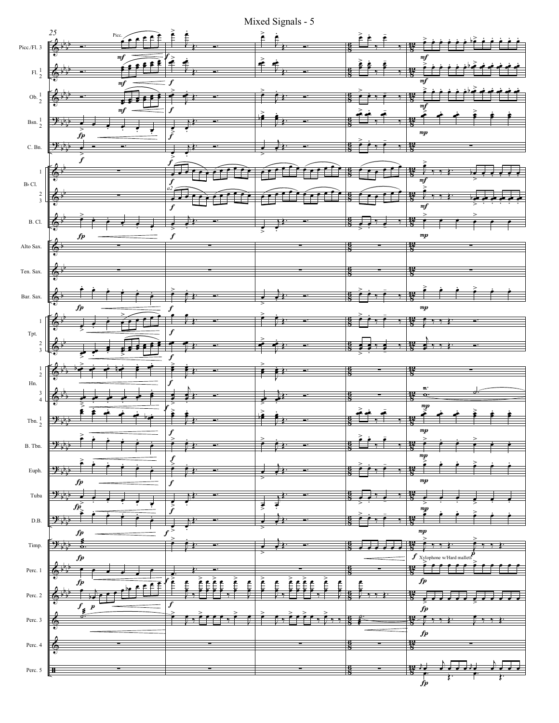